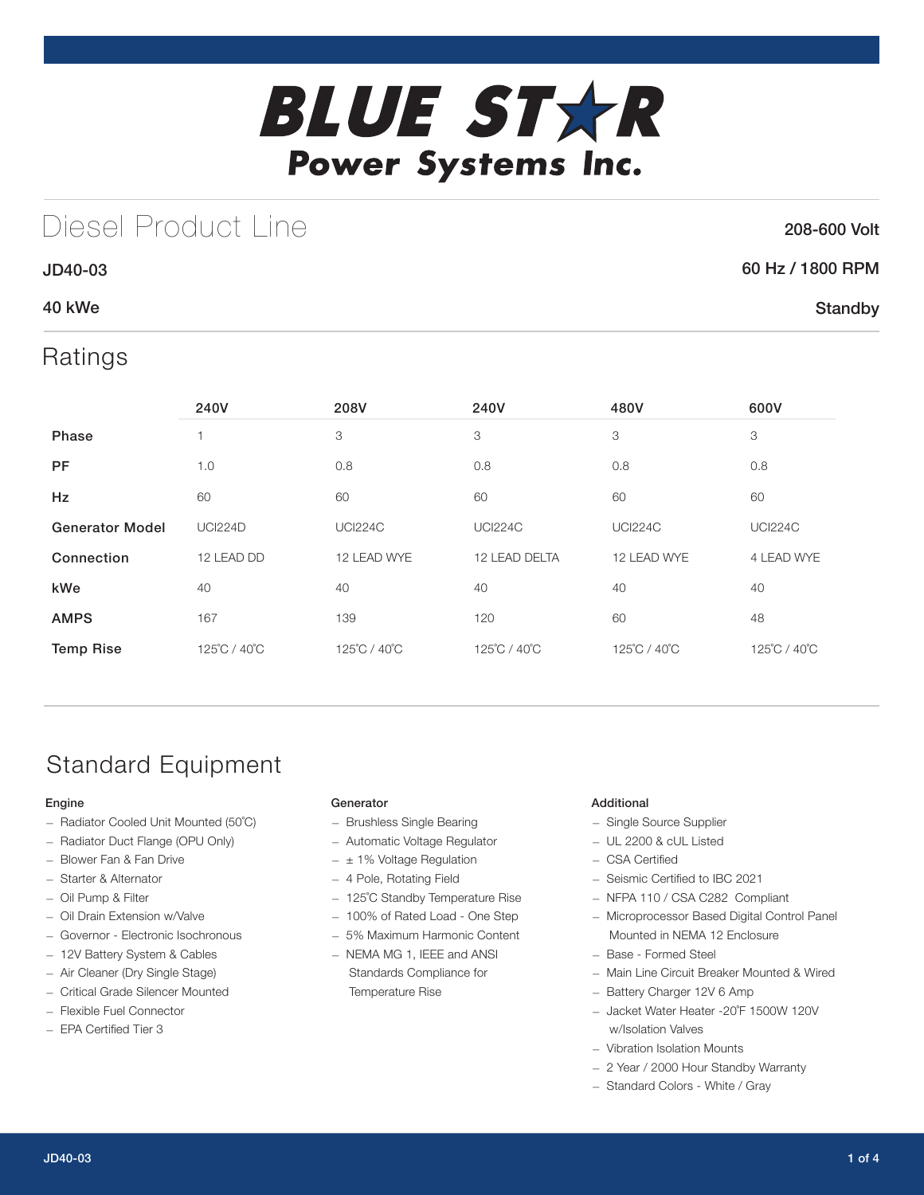

## Diesel Product Line

### 208-600 Volt

**Standby** 

### 60 Hz / 1800 RPM

### 40 kWe

JD40-03

### Ratings

|                        | 240V           | 208V           | 240V<br>480V   |                | 600V           |
|------------------------|----------------|----------------|----------------|----------------|----------------|
| <b>Phase</b>           |                | 3              | 3              | 3              | 3              |
| <b>PF</b>              | 1.0            | 0.8            | 0.8            | 0.8            | 0.8            |
| Hz                     | 60             | 60             | 60             | 60             | 60             |
| <b>Generator Model</b> | <b>UCI224D</b> | <b>UCI224C</b> | <b>UCI224C</b> | <b>UCI224C</b> | <b>UCI224C</b> |
| Connection             | 12 LEAD DD     | 12 LEAD WYE    | 12 LEAD DELTA  | 12 LEAD WYE    | 4 LEAD WYE     |
| kWe                    | 40             | 40             | 40             | 40             | 40             |
| <b>AMPS</b>            | 167            | 139            | 120            | 60             | 48             |
| <b>Temp Rise</b>       | 125°C / 40°C   | 125°C / 40°C   | 125°C / 40°C   | 125°C / 40°C   | 125°C / 40°C   |

## Standard Equipment

### Engine

- Radiator Cooled Unit Mounted (50˚C)
- Radiator Duct Flange (OPU Only)
- Blower Fan & Fan Drive
- Starter & Alternator
- Oil Pump & Filter
- Oil Drain Extension w/Valve
- Governor Electronic Isochronous
- 12V Battery System & Cables
- Air Cleaner (Dry Single Stage)
- Critical Grade Silencer Mounted
- Flexible Fuel Connector
- EPA Certified Tier 3

### Generator

- Brushless Single Bearing
- Automatic Voltage Regulator
- $\pm$  1% Voltage Regulation
- 4 Pole, Rotating Field
- 125˚C Standby Temperature Rise
- 100% of Rated Load One Step
- 5% Maximum Harmonic Content
- NEMA MG 1, IEEE and ANSI Standards Compliance for Temperature Rise

### Additional

- Single Source Supplier
- UL 2200 & cUL Listed
- CSA Certified
- Seismic Certified to IBC 2021
- NFPA 110 / CSA C282 Compliant
- Microprocessor Based Digital Control Panel Mounted in NEMA 12 Enclosure
- Base Formed Steel
- Main Line Circuit Breaker Mounted & Wired
- Battery Charger 12V 6 Amp
- Jacket Water Heater -20˚F 1500W 120V w/Isolation Valves
- Vibration Isolation Mounts
- 2 Year / 2000 Hour Standby Warranty
- Standard Colors White / Gray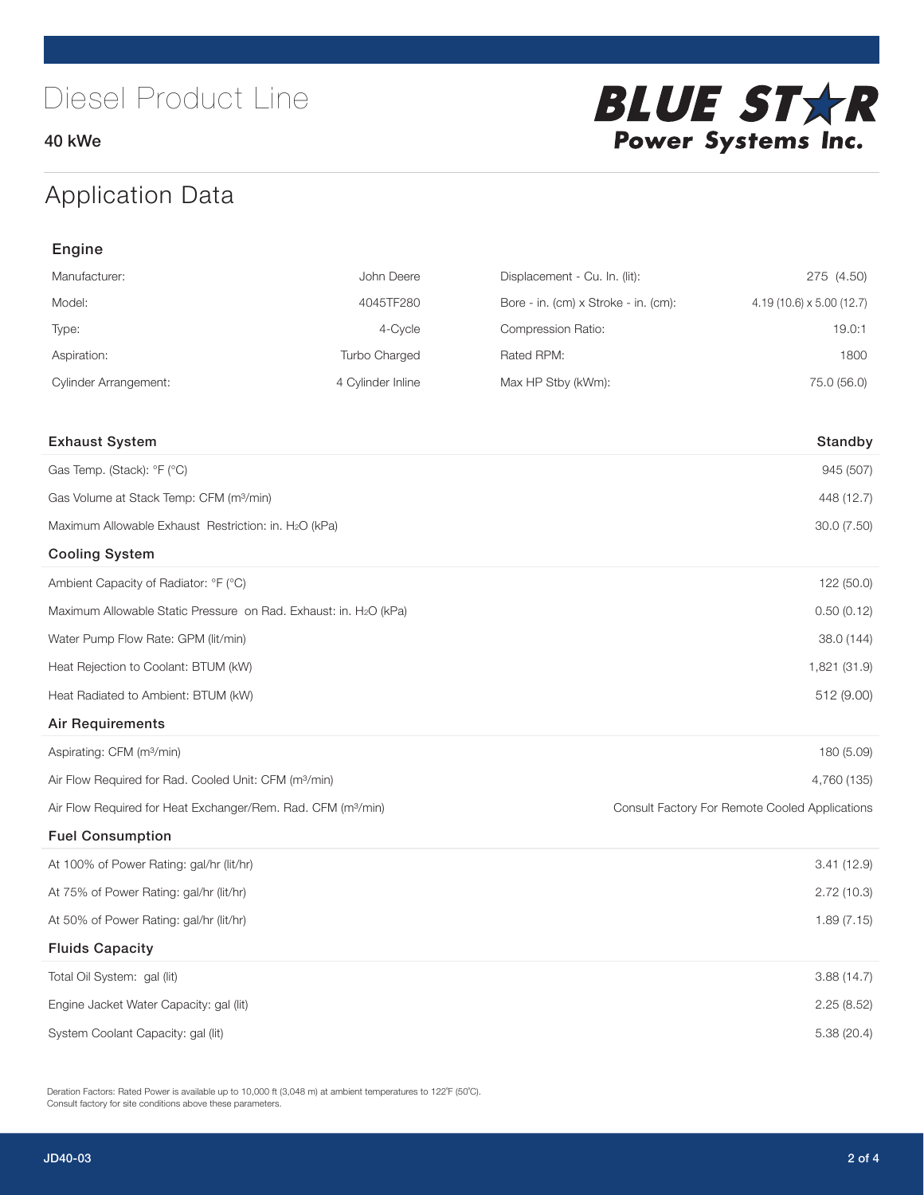40 kWe



## Application Data

| Engine                                                                   |                   |                                      |                                                |  |  |
|--------------------------------------------------------------------------|-------------------|--------------------------------------|------------------------------------------------|--|--|
| Manufacturer:                                                            | John Deere        | Displacement - Cu. In. (lit):        | 275 (4.50)                                     |  |  |
| Model:                                                                   | 4045TF280         | Bore - in. (cm) x Stroke - in. (cm): | $4.19(10.6) \times 5.00(12.7)$                 |  |  |
| Type:                                                                    | 4-Cycle           | Compression Ratio:                   | 19.0:1                                         |  |  |
| Aspiration:                                                              | Turbo Charged     | Rated RPM:                           | 1800                                           |  |  |
| <b>Cylinder Arrangement:</b>                                             | 4 Cylinder Inline | Max HP Stby (kWm):                   | 75.0 (56.0)                                    |  |  |
|                                                                          |                   |                                      |                                                |  |  |
| <b>Exhaust System</b>                                                    |                   |                                      | Standby                                        |  |  |
| Gas Temp. (Stack): °F (°C)                                               |                   |                                      | 945 (507)                                      |  |  |
| Gas Volume at Stack Temp: CFM (m <sup>3</sup> /min)                      |                   |                                      | 448 (12.7)                                     |  |  |
| Maximum Allowable Exhaust Restriction: in. H2O (kPa)                     |                   |                                      | 30.0 (7.50)                                    |  |  |
| <b>Cooling System</b>                                                    |                   |                                      |                                                |  |  |
| Ambient Capacity of Radiator: °F (°C)                                    |                   |                                      | 122 (50.0)                                     |  |  |
| Maximum Allowable Static Pressure on Rad. Exhaust: in. H2O (kPa)         |                   |                                      | 0.50(0.12)                                     |  |  |
| Water Pump Flow Rate: GPM (lit/min)                                      |                   |                                      | 38.0 (144)                                     |  |  |
| Heat Rejection to Coolant: BTUM (kW)                                     |                   |                                      | 1,821 (31.9)                                   |  |  |
| Heat Radiated to Ambient: BTUM (kW)                                      |                   |                                      | 512 (9.00)                                     |  |  |
| <b>Air Requirements</b>                                                  |                   |                                      |                                                |  |  |
| Aspirating: CFM (m <sup>3</sup> /min)                                    |                   |                                      | 180 (5.09)                                     |  |  |
| Air Flow Required for Rad. Cooled Unit: CFM (m <sup>3</sup> /min)        |                   |                                      | 4,760 (135)                                    |  |  |
| Air Flow Required for Heat Exchanger/Rem. Rad. CFM (m <sup>3</sup> /min) |                   |                                      | Consult Factory For Remote Cooled Applications |  |  |
| <b>Fuel Consumption</b>                                                  |                   |                                      |                                                |  |  |
| At 100% of Power Rating: gal/hr (lit/hr)                                 |                   |                                      | 3.41(12.9)                                     |  |  |
| At 75% of Power Rating: gal/hr (lit/hr)                                  |                   |                                      | 2.72(10.3)                                     |  |  |
| At 50% of Power Rating: gal/hr (lit/hr)                                  |                   |                                      | 1.89(7.15)                                     |  |  |
| <b>Fluids Capacity</b>                                                   |                   |                                      |                                                |  |  |
| Total Oil System: gal (lit)                                              |                   |                                      | 3.88(14.7)                                     |  |  |
| Engine Jacket Water Capacity: gal (lit)                                  |                   |                                      | 2.25(8.52)                                     |  |  |
| System Coolant Capacity: gal (lit)                                       |                   |                                      | 5.38 (20.4)                                    |  |  |

Deration Factors: Rated Power is available up to 10,000 ft (3,048 m) at ambient temperatures to 122°F (50°C). Consult factory for site conditions above these parameters.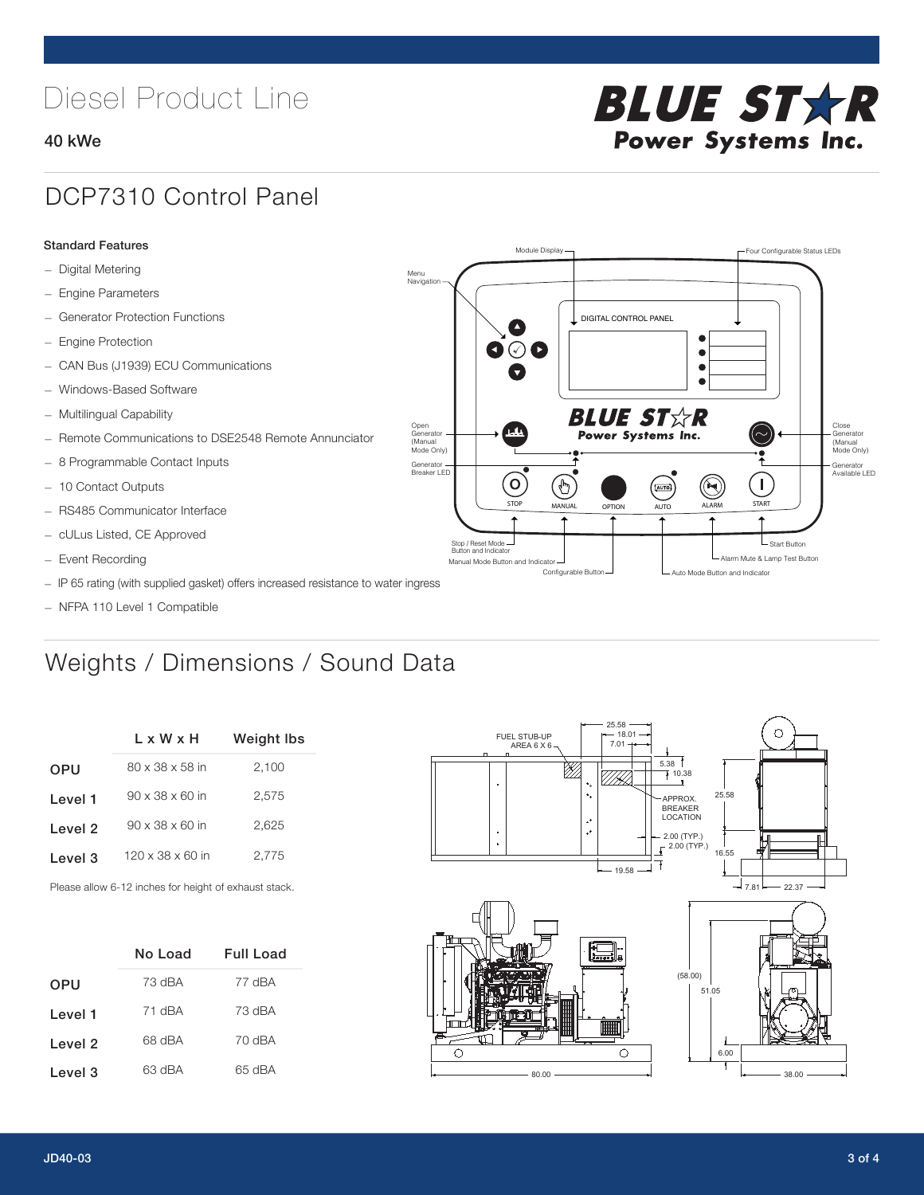# Diesel Product Line

### 40 kWe



### DCP7310 Control Panel

#### Standard Features

- Digital Metering
- Engine Parameters
- Generator Protection Functions
- Engine Protection
- CAN Bus (J1939) ECU Communications
- Windows-Based Software
- Multilingual Capability
- Remote Communications to DSE2548 Remote Annunciator
- 8 Programmable Contact Inputs
- 10 Contact Outputs
- RS485 Communicator Interface
- cULus Listed, CE Approved
- Event Recording
- IP 65 rating (with supplied gasket) offers increased resistance to water ingress
- NFPA 110 Level 1 Compatible

## Weights / Dimensions / Sound Data

|            | L x W x H                    | Weight Ibs |  |  |
|------------|------------------------------|------------|--|--|
| <b>OPU</b> | 80 x 38 x 58 in              | 2,100      |  |  |
| Level 1    | $90 \times 38 \times 60$ in  | 2,575      |  |  |
| Level 2    | $90 \times 38 \times 60$ in  | 2,625      |  |  |
| Level 3    | $120 \times 38 \times 60$ in | 2,775      |  |  |
|            |                              |            |  |  |

Please allow 6-12 inches for height of exhaust stack.

|            | No Load | <b>Full Load</b> |  |  |
|------------|---------|------------------|--|--|
| <b>OPU</b> | 73 dBA  | 77 dBA           |  |  |
| Level 1    | 71 dBA  | 73 dBA           |  |  |
| Level 2    | 68 dBA  | 70 dBA           |  |  |
| Level 3    | 63 dBA  | 65 dBA           |  |  |



STOP MANUAL OPTION AUTO ALARM START

.<br>[AUTO]

**BLUE STAR** Power Systems Inc.

Manual Mode Button and Indicator Sultane Mute & Lamp Test Button Mute & Lamp Test Button Mute & Lamp Test Button Configurable Button -  $\Box$  Auto Mode Button and Indicator

DIGITAL CONTROL PANEL

Module Display  $\Box$ 

 $\bullet$  $\bullet$  $\bullet$ 

 $\circledcirc$ 

Menu<br>Navigation

Open Generator (Manual Mode Only)

Generator Breaker LED

Stop / Reset Mode Button and Indicator

 $\bullet$  $\bullet$   $\circ$   $\bullet$ 

 $\sigma$ 

՟Պ

Close Generator (Manual Mode Only)

Generator Available LED

L Start Button

 $\blacksquare$